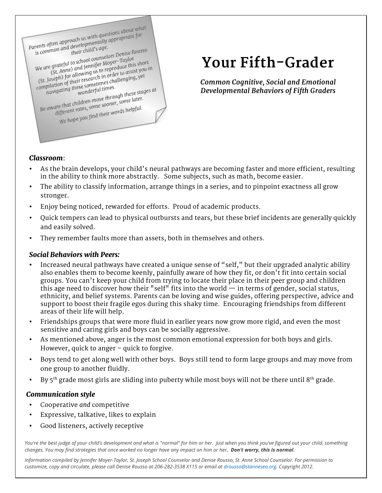

# **Your Fifth-Grader**

*Common Cognitive, Social and Emotional Developmental Behaviors of Fifth Graders*

## *Classroom*:

- As the brain develops, your child's neural pathways are becoming faster and more efficient, resulting in the ability to think more abstractly. Some subjects, such as math, become easier.
- The ability to classify information, arrange things in a series, and to pinpoint exactness all grow stronger.
- Enjoy being noticed, rewarded for efforts. Proud of academic products.
- Quick tempers can lead to physical outbursts and tears, but these brief incidents are generally quickly and easily solved.
- They remember faults more than assets, both in themselves and others.

### *Social Behaviors with Peers:*

- Increased neural pathways have created a unique sense of "self," but their upgraded analytic ability also enables them to become keenly, painfully aware of how they fit, or don't fit into certain social groups. You can't keep your child from trying to locate their place in their peer group and children this age need to discover how their "self" fits into the world  $-$  in terms of gender, social status, ethnicity, and belief systems. Parents can be loving and wise guides, offering perspective, advice and support to boost their fragile egos during this shaky time. Encouraging friendships from different areas of their life will help.
- Friendships groups that were more fluid in earlier years now grow more rigid, and even the most sensitive and caring girls and boys can be socially aggressive.
- As mentioned above, anger is the most common emotional expression for both boys and girls. However, quick to anger – quick to forgive.
- Boys tend to get along well with other boys. Boys still tend to form large groups and may move from one group to another fluidly.
- By 5<sup>th</sup> grade most girls are sliding into puberty while most boys will not be there until 8<sup>th</sup> grade.

# *Communication style*

- Cooperative *and* competitive
- Expressive, talkative, likes to explain
- Good listeners, actively receptive

*You're the best judge of your child's development and what is "normal" for him or her. Just when you think you've figured out your child, something changes. You may find strategies that once worked no longer have any impact on him or her. Don't worry, this is normal.* 

*Information compiled by Jennifer Moyer-Taylor, St. Joseph School Counselor and Denise Rousso, St. Anne School Counselor. For permission to customize, copy and circulate, please call Denise Rousso at 206-282-3538 X115 or email at drousso@stannesea.org. Copyright 2012.*